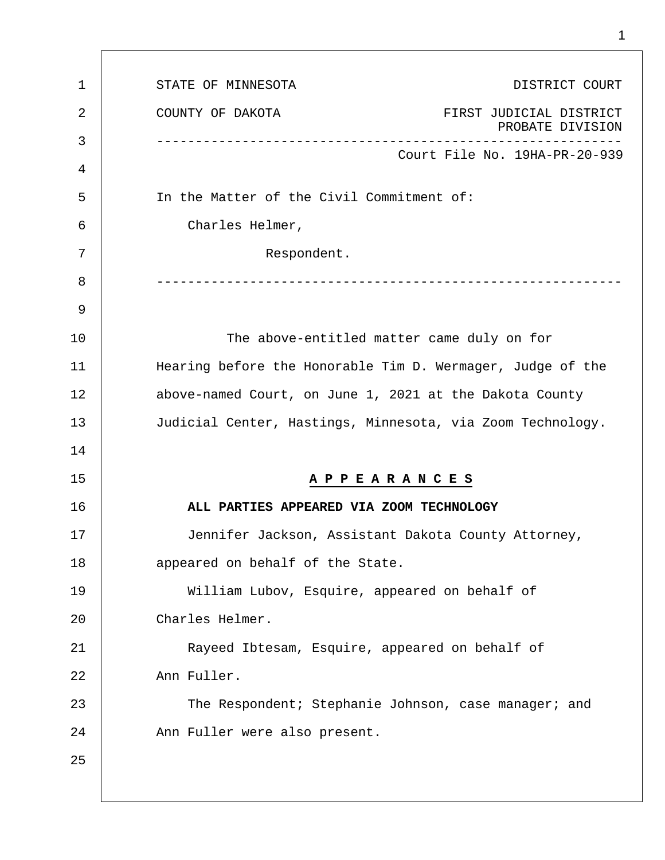| 1  | DISTRICT COURT<br>STATE OF MINNESOTA                            |
|----|-----------------------------------------------------------------|
| 2  | COUNTY OF DAKOTA<br>FIRST JUDICIAL DISTRICT<br>PROBATE DIVISION |
| 3  | Court File No. 19HA-PR-20-939                                   |
| 4  |                                                                 |
| 5  | In the Matter of the Civil Commitment of:                       |
| 6  | Charles Helmer,                                                 |
| 7  | Respondent.                                                     |
| 8  |                                                                 |
| 9  |                                                                 |
| 10 | The above-entitled matter came duly on for                      |
| 11 | Hearing before the Honorable Tim D. Wermager, Judge of the      |
| 12 | above-named Court, on June 1, 2021 at the Dakota County         |
| 13 | Judicial Center, Hastings, Minnesota, via Zoom Technology.      |
| 14 |                                                                 |
| 15 | A P P E A R A N C E S                                           |
| 16 | ALL PARTIES APPEARED VIA ZOOM TECHNOLOGY                        |
| 17 | Jennifer Jackson, Assistant Dakota County Attorney,             |
| 18 | appeared on behalf of the State.                                |
| 19 | William Lubov, Esquire, appeared on behalf of                   |
| 20 | Charles Helmer.                                                 |
| 21 | Rayeed Ibtesam, Esquire, appeared on behalf of                  |
| 22 | Ann Fuller.                                                     |
| 23 | The Respondent; Stephanie Johnson, case manager; and            |
| 24 | Ann Fuller were also present.                                   |
| 25 |                                                                 |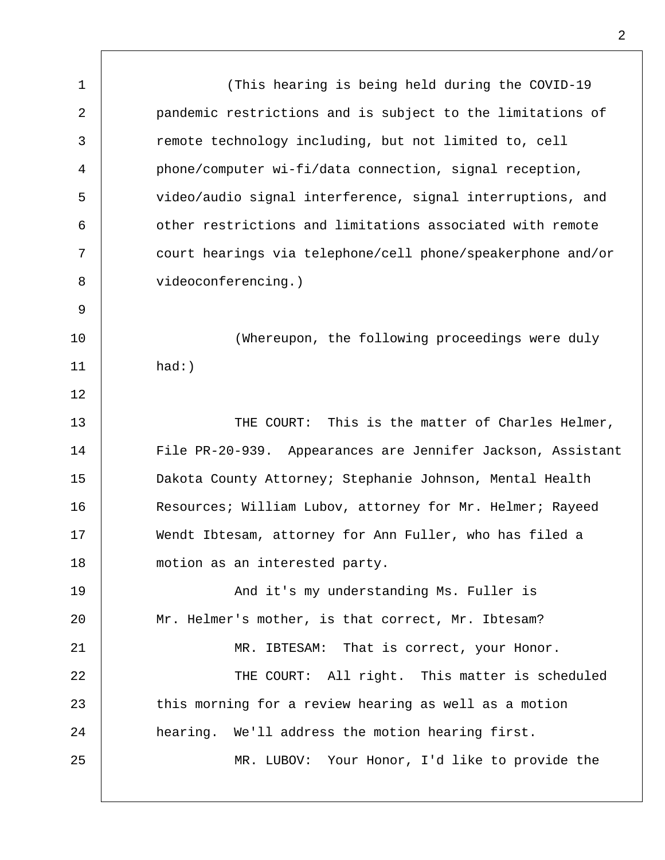1  $\overline{a}$ 3 4 5 6 7 8 9 10 11 12 13 14 15 16 17 18 19  $20^{\circ}$ 21 22 23 24 25 (This hearing is being held during the COVID-19 pandemic restrictions and is subject to the limitations of remote technology including, but not limited to, cell phone/computer wi-fi/data connection, signal reception, video/audio signal interference, signal interruptions, and other restrictions and limitations associated with remote court hearings via telephone/cell phone/speakerphone and/or videoconferencing.) (Whereupon, the following proceedings were duly had:) THE COURT: This is the matter of Charles Helmer, File PR-20-939. Appearances are Jennifer Jackson, Assistant Dakota County Attorney; Stephanie Johnson, Mental Health Resources; William Lubov, attorney for Mr. Helmer; Rayeed Wendt Ibtesam, attorney for Ann Fuller, who has filed a motion as an interested party. And it's my understanding Ms. Fuller is Mr. Helmer's mother, is that correct, Mr. Ibtesam? MR. IBTESAM: That is correct, your Honor. THE COURT: All right. This matter is scheduled this morning for a review hearing as well as a motion hearing. We'll address the motion hearing first. MR. LUBOV: Your Honor, I'd like to provide the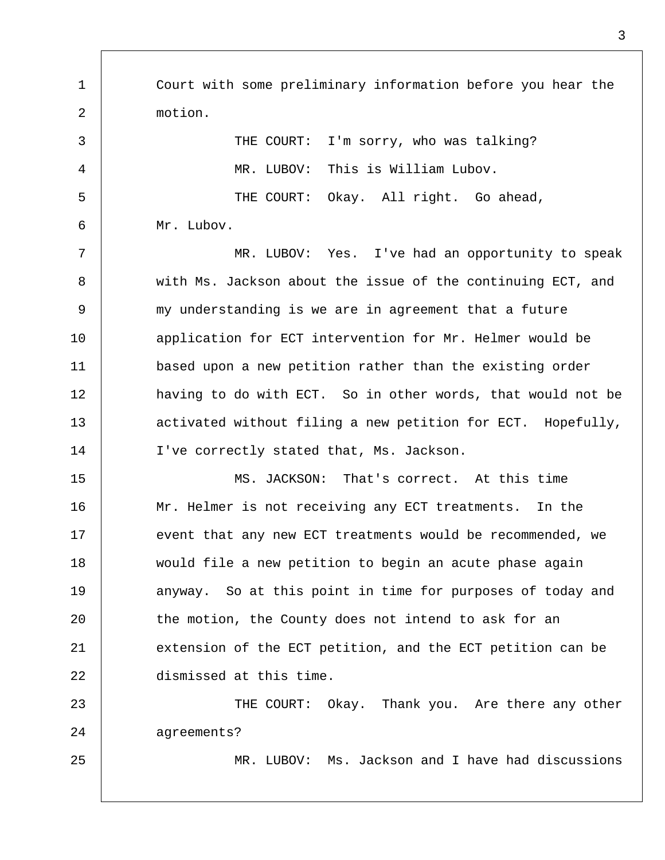1  $\overline{a}$ 3 4 5 6 7 8 9 10 11 12 13 14 15 16 17 18 19  $20^{\circ}$ 21 22 23 24 25 Court with some preliminary information before you hear the motion. THE COURT: I'm sorry, who was talking? MR. LUBOV: This is William Lubov. THE COURT: Okay. All right. Go ahead, Mr. Lubov. MR. LUBOV: Yes. I've had an opportunity to speak with Ms. Jackson about the issue of the continuing ECT, and my understanding is we are in agreement that a future application for ECT intervention for Mr. Helmer would be based upon a new petition rather than the existing order having to do with ECT. So in other words, that would not be activated without filing a new petition for ECT. Hopefully, I've correctly stated that, Ms. Jackson. MS. JACKSON: That's correct. At this time Mr. Helmer is not receiving any ECT treatments. In the event that any new ECT treatments would be recommended, we would file a new petition to begin an acute phase again anyway. So at this point in time for purposes of today and the motion, the County does not intend to ask for an extension of the ECT petition, and the ECT petition can be dismissed at this time. THE COURT: Okay. Thank you. Are there any other agreements? MR. LUBOV: Ms. Jackson and I have had discussions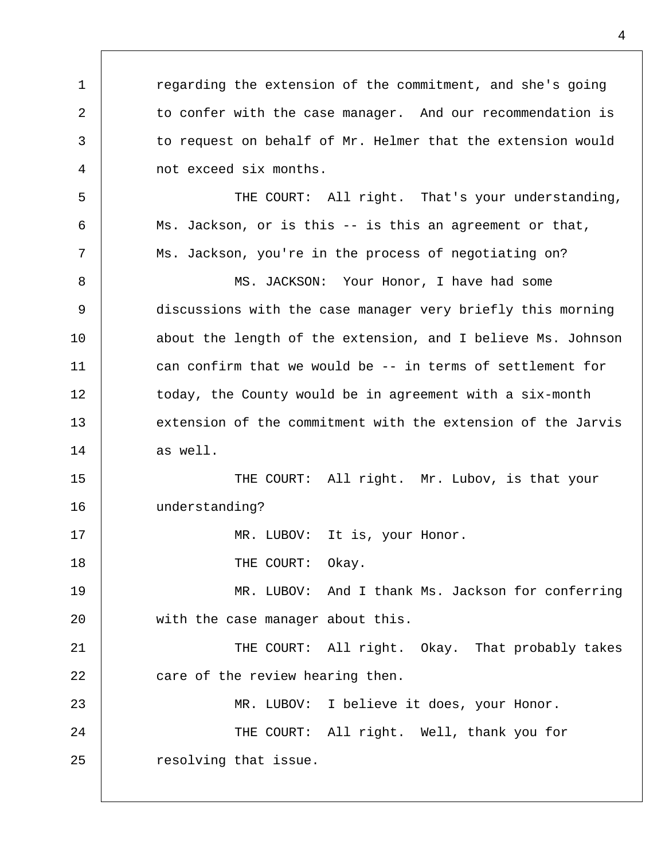regarding the extension of the commitment, and she's going to confer with the case manager. And our recommendation is to request on behalf of Mr. Helmer that the extension would not exceed six months.

1

 $\overline{a}$ 

3

4

8

17

18

5 6 7 THE COURT: All right. That's your understanding, Ms. Jackson, or is this -- is this an agreement or that, Ms. Jackson, you're in the process of negotiating on?

9 10 11 12 13 14 MS. JACKSON: Your Honor, I have had some discussions with the case manager very briefly this morning about the length of the extension, and I believe Ms. Johnson can confirm that we would be -- in terms of settlement for today, the County would be in agreement with a six-month extension of the commitment with the extension of the Jarvis as well.

15 16 THE COURT: All right. Mr. Lubov, is that your understanding?

MR. LUBOV: It is, your Honor.

THE COURT: Okay.

19  $20^{\circ}$ MR. LUBOV: And I thank Ms. Jackson for conferring with the case manager about this.

21 22 THE COURT: All right. Okay. That probably takes care of the review hearing then.

23 24 25 MR. LUBOV: I believe it does, your Honor. THE COURT: All right. Well, thank you for resolving that issue.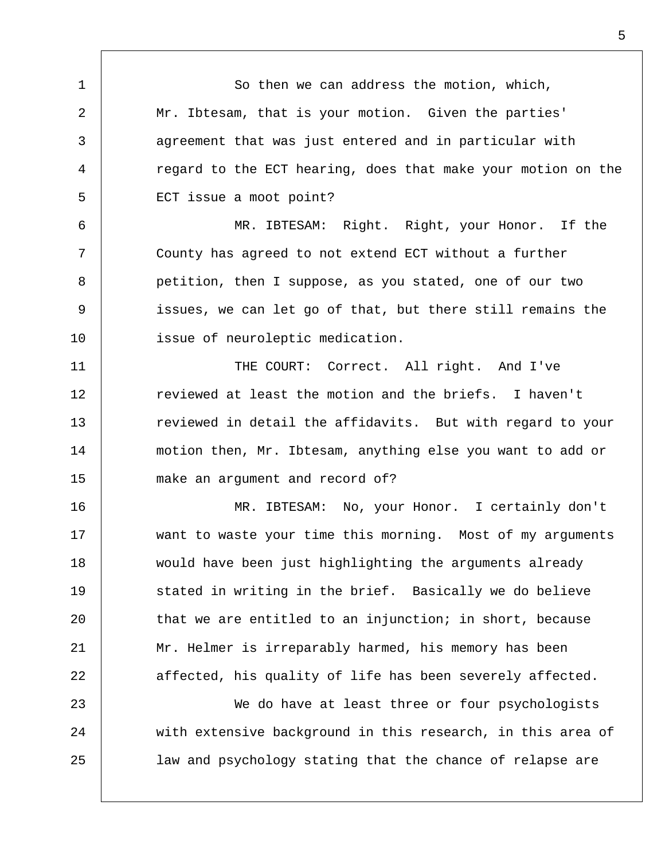So then we can address the motion, which, Mr. Ibtesam, that is your motion. Given the parties' agreement that was just entered and in particular with regard to the ECT hearing, does that make your motion on the ECT issue a moot point? MR. IBTESAM: Right. Right, your Honor. If the

1

2

3

4

5

6

7

8

9

10

23

24

25

County has agreed to not extend ECT without a further petition, then I suppose, as you stated, one of our two issues, we can let go of that, but there still remains the issue of neuroleptic medication.

11 12 13 14 15 THE COURT: Correct. All right. And I've reviewed at least the motion and the briefs. I haven't reviewed in detail the affidavits. But with regard to your motion then, Mr. Ibtesam, anything else you want to add or make an argument and record of?

16 17 18 19  $20^{\circ}$ 21 22 MR. IBTESAM: No, your Honor. I certainly don't want to waste your time this morning. Most of my arguments would have been just highlighting the arguments already stated in writing in the brief. Basically we do believe that we are entitled to an injunction; in short, because Mr. Helmer is irreparably harmed, his memory has been affected, his quality of life has been severely affected.

We do have at least three or four psychologists with extensive background in this research, in this area of law and psychology stating that the chance of relapse are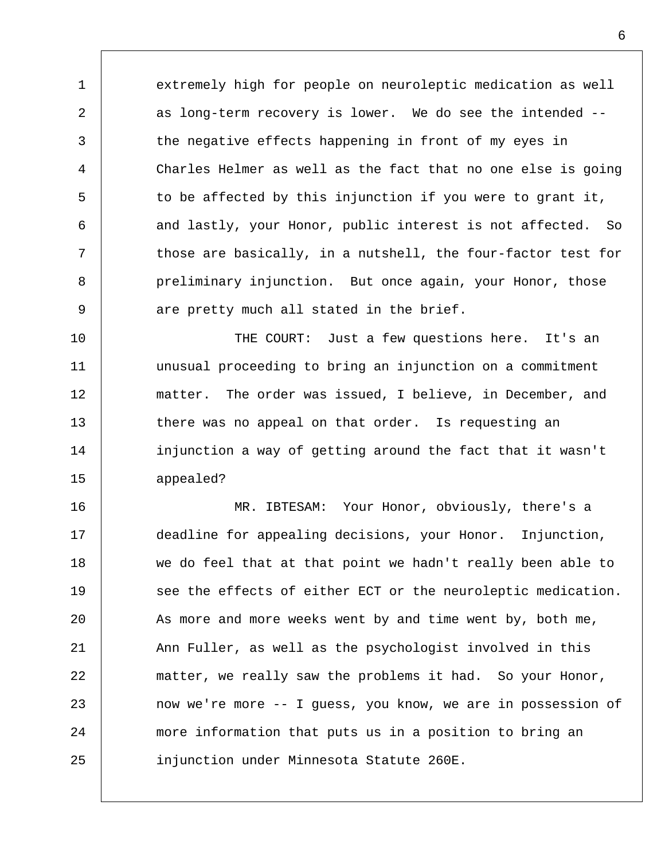extremely high for people on neuroleptic medication as well as long-term recovery is lower. We do see the intended - the negative effects happening in front of my eyes in Charles Helmer as well as the fact that no one else is going to be affected by this injunction if you were to grant it, and lastly, your Honor, public interest is not affected. So those are basically, in a nutshell, the four-factor test for preliminary injunction. But once again, your Honor, those are pretty much all stated in the brief.

1

2

3

4

5

6

7

8

9

10 11 12 13 14 15 THE COURT: Just a few questions here. It's an unusual proceeding to bring an injunction on a commitment matter. The order was issued, I believe, in December, and there was no appeal on that order. Is requesting an injunction a way of getting around the fact that it wasn't appealed?

16 17 18 19  $20^{\circ}$ 21 22 23 24 25 MR. IBTESAM: Your Honor, obviously, there's a deadline for appealing decisions, your Honor. Injunction, we do feel that at that point we hadn't really been able to see the effects of either ECT or the neuroleptic medication. As more and more weeks went by and time went by, both me, Ann Fuller, as well as the psychologist involved in this matter, we really saw the problems it had. So your Honor, now we're more -- I guess, you know, we are in possession of more information that puts us in a position to bring an injunction under Minnesota Statute 260E.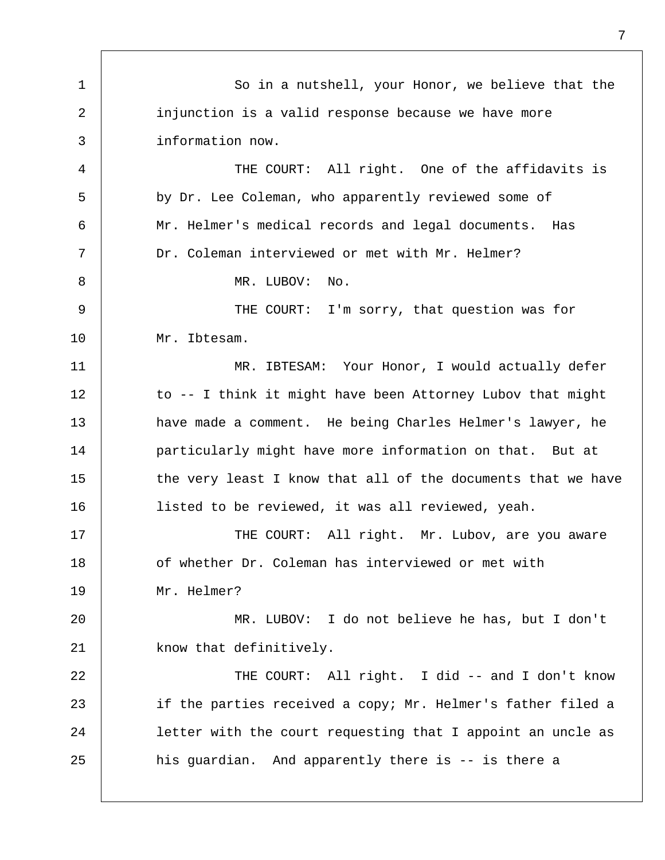1  $\overline{a}$ 3 4 5 6 7 8 9 10 11 12 13 14 15 16 17 18 19  $2.0$ 21 22 23 24 25 So in a nutshell, your Honor, we believe that the injunction is a valid response because we have more information now. THE COURT: All right. One of the affidavits is by Dr. Lee Coleman, who apparently reviewed some of Mr. Helmer's medical records and legal documents. Has Dr. Coleman interviewed or met with Mr. Helmer? MR. LUBOV: No. THE COURT: I'm sorry, that question was for Mr. Ibtesam. MR. IBTESAM: Your Honor, I would actually defer to -- I think it might have been Attorney Lubov that might have made a comment. He being Charles Helmer's lawyer, he particularly might have more information on that. But at the very least I know that all of the documents that we have listed to be reviewed, it was all reviewed, yeah. THE COURT: All right. Mr. Lubov, are you aware of whether Dr. Coleman has interviewed or met with Mr. Helmer? MR. LUBOV: I do not believe he has, but I don't know that definitively. THE COURT: All right. I did -- and I don't know if the parties received a copy; Mr. Helmer's father filed a letter with the court requesting that I appoint an uncle as his guardian. And apparently there is -- is there a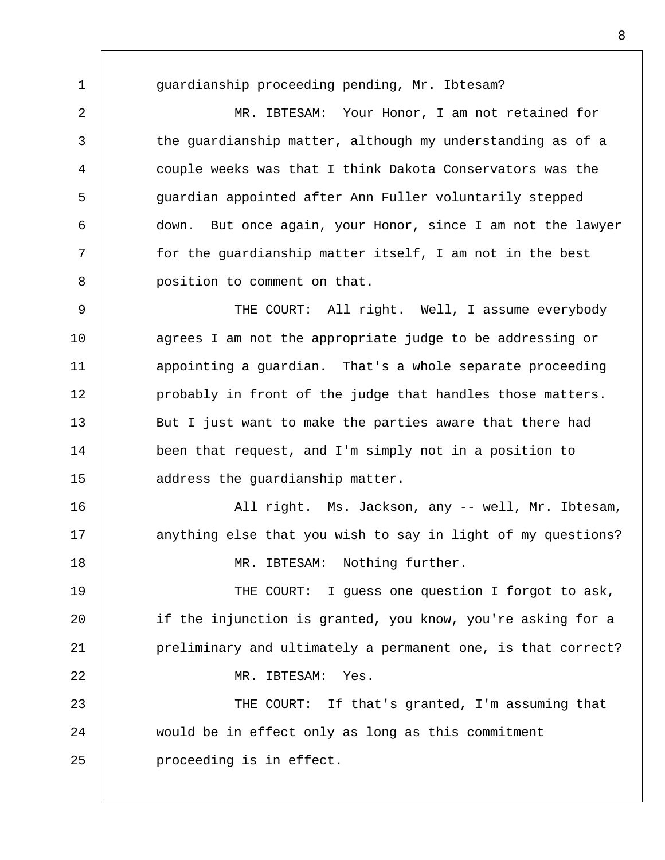guardianship proceeding pending, Mr. Ibtesam?

1

 $\overline{a}$ 

3

4

5

6

7

8

MR. IBTESAM: Your Honor, I am not retained for the guardianship matter, although my understanding as of a couple weeks was that I think Dakota Conservators was the guardian appointed after Ann Fuller voluntarily stepped down. But once again, your Honor, since I am not the lawyer for the guardianship matter itself, I am not in the best position to comment on that.

9 10 11 12 13 14 15 THE COURT: All right. Well, I assume everybody agrees I am not the appropriate judge to be addressing or appointing a guardian. That's a whole separate proceeding probably in front of the judge that handles those matters. But I just want to make the parties aware that there had been that request, and I'm simply not in a position to address the guardianship matter.

16 17 18 All right. Ms. Jackson, any -- well, Mr. Ibtesam, anything else that you wish to say in light of my questions? MR. IBTESAM: Nothing further.

19  $2.0$ 21 22 23 THE COURT: I guess one question I forgot to ask, if the injunction is granted, you know, you're asking for a preliminary and ultimately a permanent one, is that correct? MR. IBTESAM: Yes. THE COURT: If that's granted, I'm assuming that

24 25 would be in effect only as long as this commitment proceeding is in effect.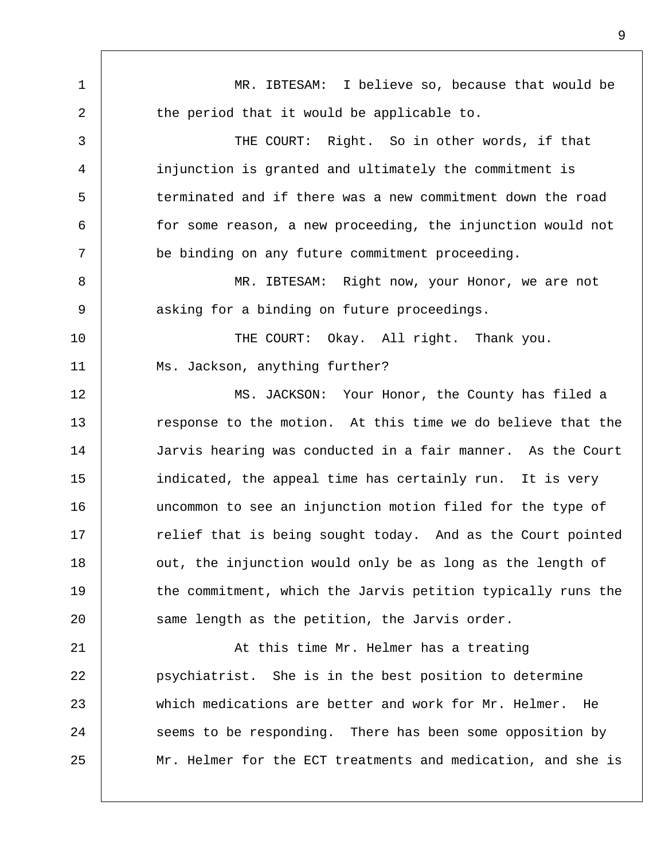1 2 3 4 5 6 7 8 9 10 11 12 13 14 15 16 17 18 19  $20^{\circ}$ 21 22 23 24 25 MR. IBTESAM: I believe so, because that would be the period that it would be applicable to. THE COURT: Right. So in other words, if that injunction is granted and ultimately the commitment is terminated and if there was a new commitment down the road for some reason, a new proceeding, the injunction would not be binding on any future commitment proceeding. MR. IBTESAM: Right now, your Honor, we are not asking for a binding on future proceedings. THE COURT: Okay. All right. Thank you. Ms. Jackson, anything further? MS. JACKSON: Your Honor, the County has filed a response to the motion. At this time we do believe that the Jarvis hearing was conducted in a fair manner. As the Court indicated, the appeal time has certainly run. It is very uncommon to see an injunction motion filed for the type of relief that is being sought today. And as the Court pointed out, the injunction would only be as long as the length of the commitment, which the Jarvis petition typically runs the same length as the petition, the Jarvis order. At this time Mr. Helmer has a treating psychiatrist. She is in the best position to determine which medications are better and work for Mr. Helmer. He seems to be responding. There has been some opposition by Mr. Helmer for the ECT treatments and medication, and she is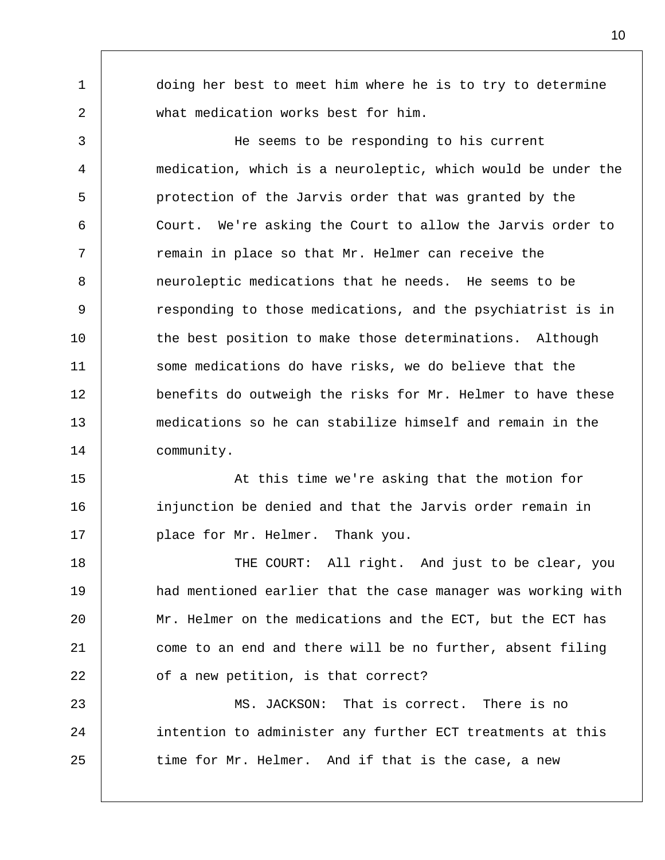doing her best to meet him where he is to try to determine what medication works best for him.

1

 $\overline{a}$ 

3

4

5

6

7

8

9

10

11

12

13

14

He seems to be responding to his current medication, which is a neuroleptic, which would be under the protection of the Jarvis order that was granted by the Court. We're asking the Court to allow the Jarvis order to remain in place so that Mr. Helmer can receive the neuroleptic medications that he needs. He seems to be responding to those medications, and the psychiatrist is in the best position to make those determinations. Although some medications do have risks, we do believe that the benefits do outweigh the risks for Mr. Helmer to have these medications so he can stabilize himself and remain in the community.

15 16 17 At this time we're asking that the motion for injunction be denied and that the Jarvis order remain in place for Mr. Helmer. Thank you.

18 19  $2.0$ 21 22 THE COURT: All right. And just to be clear, you had mentioned earlier that the case manager was working with Mr. Helmer on the medications and the ECT, but the ECT has come to an end and there will be no further, absent filing of a new petition, is that correct?

23 24 25 MS. JACKSON: That is correct. There is no intention to administer any further ECT treatments at this time for Mr. Helmer. And if that is the case, a new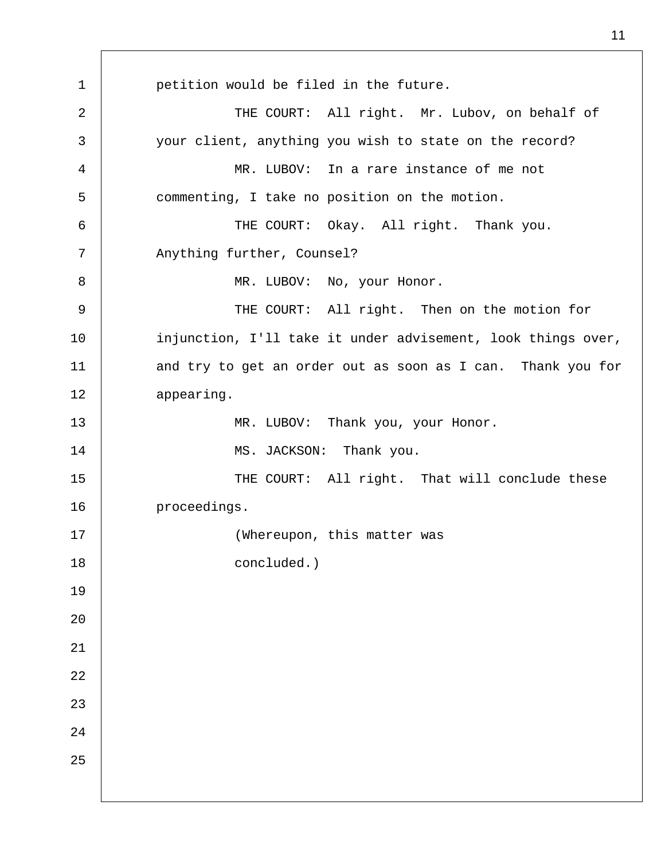1 2 3 4 5 6 7 8 9 10 11 12 13 14 15 16 17 18 19  $20^{\circ}$ 21 22 23 24 25 petition would be filed in the future. THE COURT: All right. Mr. Lubov, on behalf of your client, anything you wish to state on the record? MR. LUBOV: In a rare instance of me not commenting, I take no position on the motion. THE COURT: Okay. All right. Thank you. Anything further, Counsel? MR. LUBOV: No, your Honor. THE COURT: All right. Then on the motion for injunction, I'll take it under advisement, look things over, and try to get an order out as soon as I can. Thank you for appearing. MR. LUBOV: Thank you, your Honor. MS. JACKSON: Thank you. THE COURT: All right. That will conclude these proceedings. (Whereupon, this matter was concluded.)